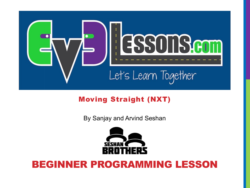

#### Moving Straight (NXT)

By Sanjay and Arvind Seshan



### BEGINNER PROGRAMMING LESSON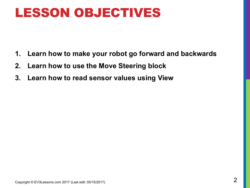## LESSON OBJECTIVES

- **1. Learn how to make your robot go forward and backwards**
- **2. Learn how to use the Move Steering block**
- **3. Learn how to read sensor values using View**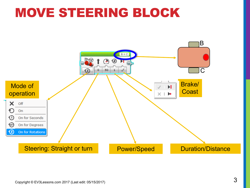## MOVE STEERING BLOCK

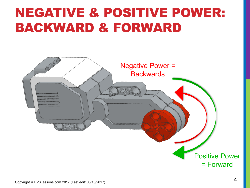## NEGATIVE & POSITIVE POWER: BACKWARD & FORWARD

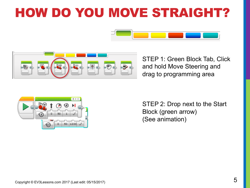## HOW DO YOU MOVE STRAIGHT?





STEP 1: Green Block Tab, Click and hold Move Steering and drag to programming area



STEP 2: Drop next to the Start Block (green arrow) (See animation)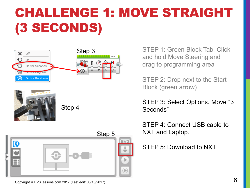# CHALLENGE 1: MOVE STRAIGHT (3 SECONDS)









STEP 1: Green Block Tab, Click and hold Move Steering and drag to programming area

STEP 2: Drop next to the Start Block (green arrow)

STEP 3: Select Options. Move "3 Seconds"

STEP 4: Connect USB cable to NXT and Laptop.

STEP 5: Download to NXT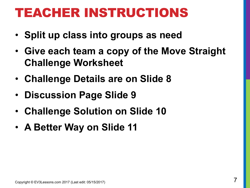## TEACHER INSTRUCTIONS

- **Split up class into groups as need**
- **Give each team a copy of the Move Straight Challenge Worksheet**
- **Challenge Details are on Slide 8**
- **Discussion Page Slide 9**
- **Challenge Solution on Slide 10**
- **A Better Way on Slide 11**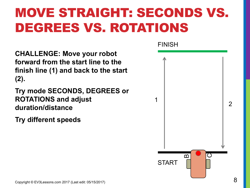# MOVE STRAIGHT: SECONDS VS. DEGREES VS. ROTATIONS

**CHALLENGE: Move your robot forward from the start line to the finish line (1) and back to the start (2).**

**Try mode SECONDS, DEGREES or ROTATIONS and adjust duration/distance**

**Try different speeds**

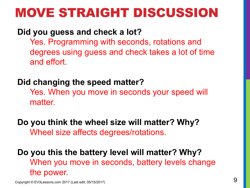## MOVE STRAIGHT DISCUSSION

#### **Did you guess and check a lot?**

Yes. Programming with seconds, rotations and degrees using guess and check takes a lot of time and effort.

#### **Did changing the speed matter?**

Yes. When you move in seconds your speed will matter.

**Do you think the wheel size will matter? Why?** Wheel size affects degrees/rotations.

**Do you this the battery level will matter? Why?** When you move in seconds, battery levels change the power.

 $\mathsf{Copyright} \textcircled{\small{\verb|ev3Lessons.com|2017}}$  (Last edit: 05/15/2017)  $\mathsf{Q}$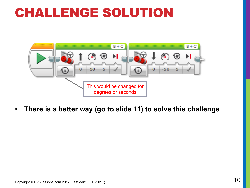## CHALLENGE SOLUTION



• **There is a better way (go to slide 11) to solve this challenge**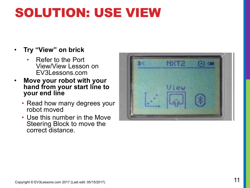## SOLUTION: USE VIEW

#### • **Try "View" on brick**

- Refer to the Port View/View Lesson on EV3Lessons.com
- **Move your robot with your hand from your start line to your end line**
	- Read how many degrees your robot moved
	- Use this number in the Move Steering Block to move the correct distance.